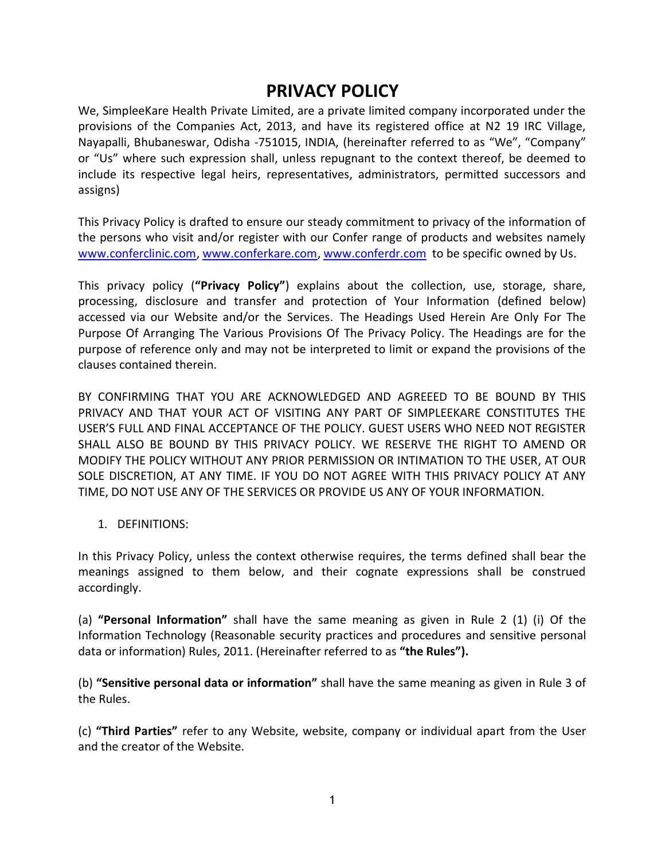# **PRIVACY POLICY**

We, SimpleeKare Health Private Limited, are a private limited company incorporated under the provisions of the Companies Act, 2013, and have its registered office at N2 19 IRC Village, Nayapalli, Bhubaneswar, Odisha -751015, INDIA, (hereinafter referred to as "We", "Company" or "Us" where such expression shall, unless repugnant to the context thereof, be deemed to include its respective legal heirs, representatives, administrators, permitted successors and assigns)

This Privacy Policy is drafted to ensure our steady commitment to privacy of the information of the persons who visit and/or register with our Confer range of products and websites namely [www.conferclinic.com,](http://www.conferclinic.com/) [www.conferkare.com,](http://www.conferkare.com/) [www.conferdr.com](http://www.conferdr.com/) to be specific owned by Us.

This privacy policy (**"Privacy Policy"**) explains about the collection, use, storage, share, processing, disclosure and transfer and protection of Your Information (defined below) accessed via our Website and/or the Services. The Headings Used Herein Are Only For The Purpose Of Arranging The Various Provisions Of The Privacy Policy. The Headings are for the purpose of reference only and may not be interpreted to limit or expand the provisions of the clauses contained therein.

BY CONFIRMING THAT YOU ARE ACKNOWLEDGED AND AGREEED TO BE BOUND BY THIS PRIVACY AND THAT YOUR ACT OF VISITING ANY PART OF SIMPLEEKARE CONSTITUTES THE USER'S FULL AND FINAL ACCEPTANCE OF THE POLICY. GUEST USERS WHO NEED NOT REGISTER SHALL ALSO BE BOUND BY THIS PRIVACY POLICY. WE RESERVE THE RIGHT TO AMEND OR MODIFY THE POLICY WITHOUT ANY PRIOR PERMISSION OR INTIMATION TO THE USER, AT OUR SOLE DISCRETION, AT ANY TIME. IF YOU DO NOT AGREE WITH THIS PRIVACY POLICY AT ANY TIME, DO NOT USE ANY OF THE SERVICES OR PROVIDE US ANY OF YOUR INFORMATION.

1. DEFINITIONS:

In this Privacy Policy, unless the context otherwise requires, the terms defined shall bear the meanings assigned to them below, and their cognate expressions shall be construed accordingly.

(a) **"Personal Information"** shall have the same meaning as given in Rule 2 (1) (i) Of the Information Technology (Reasonable security practices and procedures and sensitive personal data or information) Rules, 2011. (Hereinafter referred to as **"the Rules").**

(b) **"Sensitive personal data or information"** shall have the same meaning as given in Rule 3 of the Rules.

(c) **"Third Parties"** refer to any Website, website, company or individual apart from the User and the creator of the Website.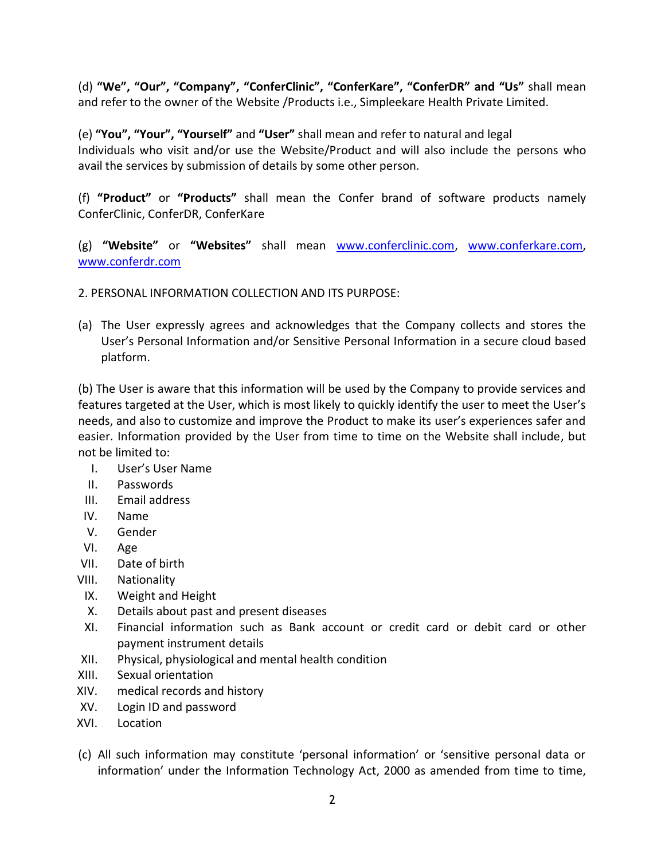(d) **"We", "Our", "Company", "ConferClinic", "ConferKare", "ConferDR" and "Us"** shall mean and refer to the owner of the Website /Products i.e., Simpleekare Health Private Limited.

(e) **"You", "Your", "Yourself"** and **"User"** shall mean and refer to natural and legal Individuals who visit and/or use the Website/Product and will also include the persons who avail the services by submission of details by some other person.

(f) **"Product"** or **"Products"** shall mean the Confer brand of software products namely ConferClinic, ConferDR, ConferKare

(g) **"Website"** or **"Websites"** shall mean [www.conferclinic.com,](http://www.conferclinic.com/) [www.conferkare.com,](http://www.conferkare.com/) [www.conferdr.com](http://www.conferdr.com/)

- 2. PERSONAL INFORMATION COLLECTION AND ITS PURPOSE:
- (a) The User expressly agrees and acknowledges that the Company collects and stores the User's Personal Information and/or Sensitive Personal Information in a secure cloud based platform.

(b) The User is aware that this information will be used by the Company to provide services and features targeted at the User, which is most likely to quickly identify the user to meet the User's needs, and also to customize and improve the Product to make its user's experiences safer and easier. Information provided by the User from time to time on the Website shall include, but not be limited to:

- I. User's User Name
- II. Passwords
- III. Email address
- IV. Name
- V. Gender
- VI. Age
- VII. Date of birth
- VIII. Nationality
- IX. Weight and Height
- X. Details about past and present diseases
- XI. Financial information such as Bank account or credit card or debit card or other payment instrument details
- XII. Physical, physiological and mental health condition
- XIII. Sexual orientation
- XIV. medical records and history
- XV. Login ID and password
- XVI. Location
- (c) All such information may constitute 'personal information' or 'sensitive personal data or information' under the Information Technology Act, 2000 as amended from time to time,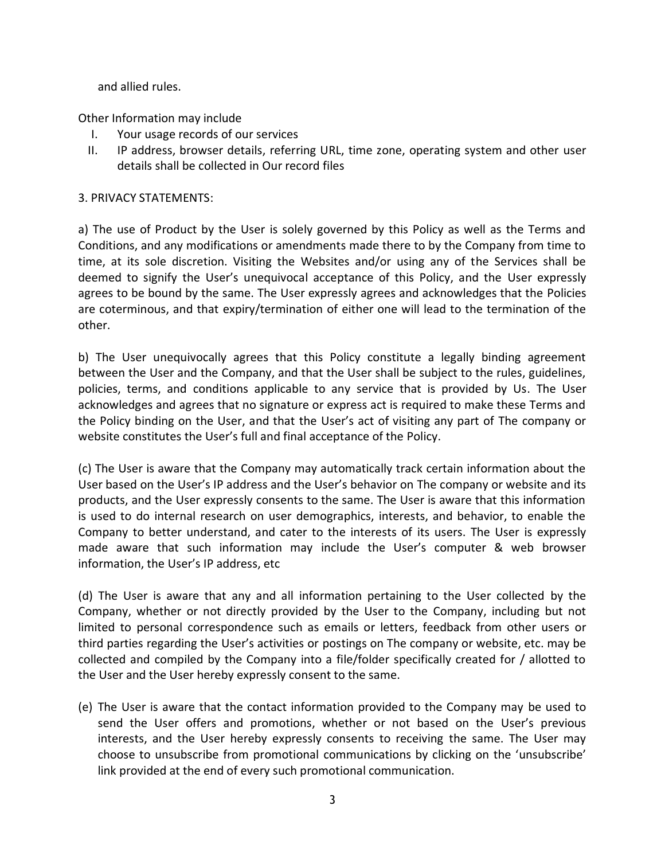and allied rules.

Other Information may include

- I. Your usage records of our services
- II. IP address, browser details, referring URL, time zone, operating system and other user details shall be collected in Our record files

## 3. PRIVACY STATEMENTS:

a) The use of Product by the User is solely governed by this Policy as well as the Terms and Conditions, and any modifications or amendments made there to by the Company from time to time, at its sole discretion. Visiting the Websites and/or using any of the Services shall be deemed to signify the User's unequivocal acceptance of this Policy, and the User expressly agrees to be bound by the same. The User expressly agrees and acknowledges that the Policies are coterminous, and that expiry/termination of either one will lead to the termination of the other.

b) The User unequivocally agrees that this Policy constitute a legally binding agreement between the User and the Company, and that the User shall be subject to the rules, guidelines, policies, terms, and conditions applicable to any service that is provided by Us. The User acknowledges and agrees that no signature or express act is required to make these Terms and the Policy binding on the User, and that the User's act of visiting any part of The company or website constitutes the User's full and final acceptance of the Policy.

(c) The User is aware that the Company may automatically track certain information about the User based on the User's IP address and the User's behavior on The company or website and its products, and the User expressly consents to the same. The User is aware that this information is used to do internal research on user demographics, interests, and behavior, to enable the Company to better understand, and cater to the interests of its users. The User is expressly made aware that such information may include the User's computer & web browser information, the User's IP address, etc

(d) The User is aware that any and all information pertaining to the User collected by the Company, whether or not directly provided by the User to the Company, including but not limited to personal correspondence such as emails or letters, feedback from other users or third parties regarding the User's activities or postings on The company or website, etc. may be collected and compiled by the Company into a file/folder specifically created for / allotted to the User and the User hereby expressly consent to the same.

(e) The User is aware that the contact information provided to the Company may be used to send the User offers and promotions, whether or not based on the User's previous interests, and the User hereby expressly consents to receiving the same. The User may choose to unsubscribe from promotional communications by clicking on the 'unsubscribe' link provided at the end of every such promotional communication.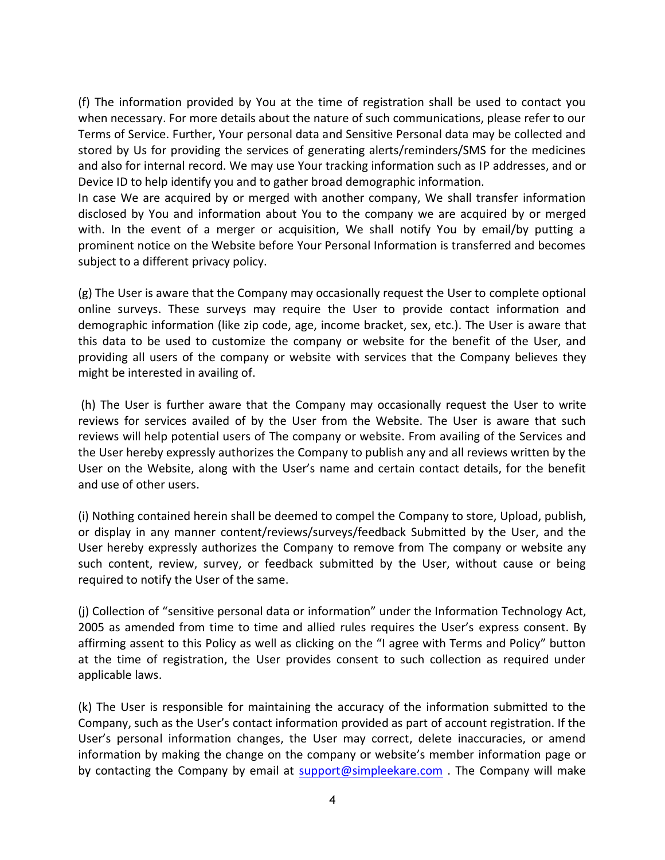(f) The information provided by You at the time of registration shall be used to contact you when necessary. For more details about the nature of such communications, please refer to our Terms of Service. Further, Your personal data and Sensitive Personal data may be collected and stored by Us for providing the services of generating alerts/reminders/SMS for the medicines and also for internal record. We may use Your tracking information such as IP addresses, and or Device ID to help identify you and to gather broad demographic information.

In case We are acquired by or merged with another company, We shall transfer information disclosed by You and information about You to the company we are acquired by or merged with. In the event of a merger or acquisition, We shall notify You by email/by putting a prominent notice on the Website before Your Personal Information is transferred and becomes subject to a different privacy policy.

(g) The User is aware that the Company may occasionally request the User to complete optional online surveys. These surveys may require the User to provide contact information and demographic information (like zip code, age, income bracket, sex, etc.). The User is aware that this data to be used to customize the company or website for the benefit of the User, and providing all users of the company or website with services that the Company believes they might be interested in availing of.

(h) The User is further aware that the Company may occasionally request the User to write reviews for services availed of by the User from the Website. The User is aware that such reviews will help potential users of The company or website. From availing of the Services and the User hereby expressly authorizes the Company to publish any and all reviews written by the User on the Website, along with the User's name and certain contact details, for the benefit and use of other users.

(i) Nothing contained herein shall be deemed to compel the Company to store, Upload, publish, or display in any manner content/reviews/surveys/feedback Submitted by the User, and the User hereby expressly authorizes the Company to remove from The company or website any such content, review, survey, or feedback submitted by the User, without cause or being required to notify the User of the same.

(j) Collection of "sensitive personal data or information" under the Information Technology Act, 2005 as amended from time to time and allied rules requires the User's express consent. By affirming assent to this Policy as well as clicking on the "I agree with Terms and Policy" button at the time of registration, the User provides consent to such collection as required under applicable laws.

(k) The User is responsible for maintaining the accuracy of the information submitted to the Company, such as the User's contact information provided as part of account registration. If the User's personal information changes, the User may correct, delete inaccuracies, or amend information by making the change on the company or website's member information page or by contacting the Company by email at [support@simpleekare.com](mailto:support@simpleekare.com) . The Company will make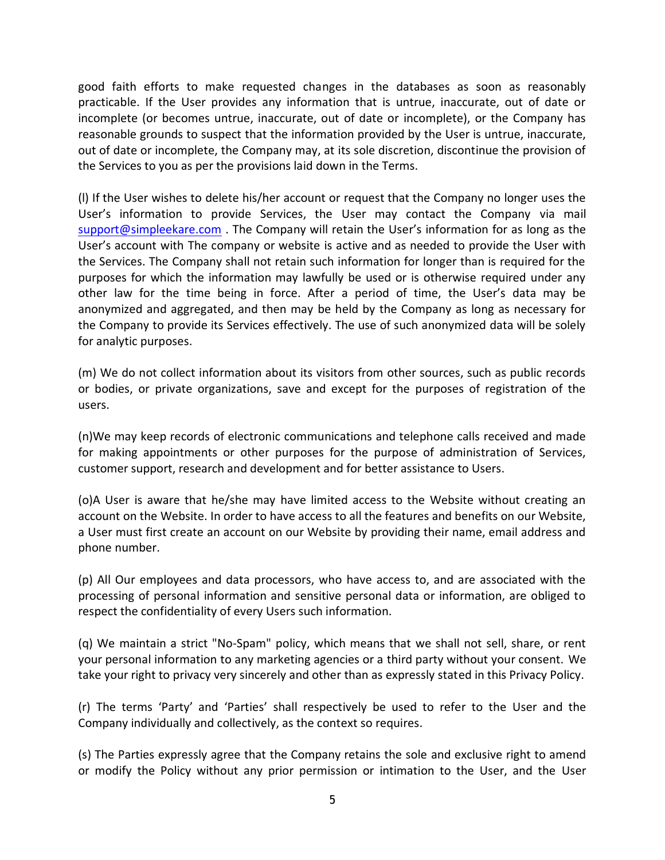good faith efforts to make requested changes in the databases as soon as reasonably practicable. If the User provides any information that is untrue, inaccurate, out of date or incomplete (or becomes untrue, inaccurate, out of date or incomplete), or the Company has reasonable grounds to suspect that the information provided by the User is untrue, inaccurate, out of date or incomplete, the Company may, at its sole discretion, discontinue the provision of the Services to you as per the provisions laid down in the Terms.

(l) If the User wishes to delete his/her account or request that the Company no longer uses the User's information to provide Services, the User may contact the Company via mail [support@simpleekare.com](mailto:support@simpleekare.com) . The Company will retain the User's information for as long as the User's account with The company or website is active and as needed to provide the User with the Services. The Company shall not retain such information for longer than is required for the purposes for which the information may lawfully be used or is otherwise required under any other law for the time being in force. After a period of time, the User's data may be anonymized and aggregated, and then may be held by the Company as long as necessary for the Company to provide its Services effectively. The use of such anonymized data will be solely for analytic purposes.

(m) We do not collect information about its visitors from other sources, such as public records or bodies, or private organizations, save and except for the purposes of registration of the users.

(n)We may keep records of electronic communications and telephone calls received and made for making appointments or other purposes for the purpose of administration of Services, customer support, research and development and for better assistance to Users.

(o)A User is aware that he/she may have limited access to the Website without creating an account on the Website. In order to have access to all the features and benefits on our Website, a User must first create an account on our Website by providing their name, email address and phone number.

(p) All Our employees and data processors, who have access to, and are associated with the processing of personal information and sensitive personal data or information, are obliged to respect the confidentiality of every Users such information.

(q) We maintain a strict "No-Spam" policy, which means that we shall not sell, share, or rent your personal information to any marketing agencies or a third party without your consent. We take your right to privacy very sincerely and other than as expressly stated in this Privacy Policy.

(r) The terms 'Party' and 'Parties' shall respectively be used to refer to the User and the Company individually and collectively, as the context so requires.

(s) The Parties expressly agree that the Company retains the sole and exclusive right to amend or modify the Policy without any prior permission or intimation to the User, and the User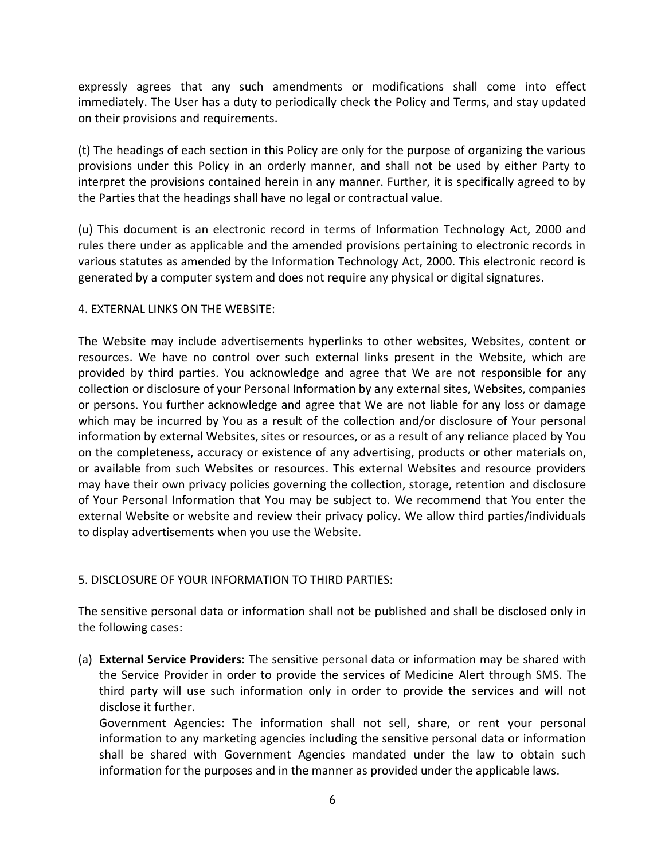expressly agrees that any such amendments or modifications shall come into effect immediately. The User has a duty to periodically check the Policy and Terms, and stay updated on their provisions and requirements.

(t) The headings of each section in this Policy are only for the purpose of organizing the various provisions under this Policy in an orderly manner, and shall not be used by either Party to interpret the provisions contained herein in any manner. Further, it is specifically agreed to by the Parties that the headings shall have no legal or contractual value.

(u) This document is an electronic record in terms of Information Technology Act, 2000 and rules there under as applicable and the amended provisions pertaining to electronic records in various statutes as amended by the Information Technology Act, 2000. This electronic record is generated by a computer system and does not require any physical or digital signatures.

### 4. EXTERNAL LINKS ON THE WEBSITE:

The Website may include advertisements hyperlinks to other websites, Websites, content or resources. We have no control over such external links present in the Website, which are provided by third parties. You acknowledge and agree that We are not responsible for any collection or disclosure of your Personal Information by any external sites, Websites, companies or persons. You further acknowledge and agree that We are not liable for any loss or damage which may be incurred by You as a result of the collection and/or disclosure of Your personal information by external Websites, sites or resources, or as a result of any reliance placed by You on the completeness, accuracy or existence of any advertising, products or other materials on, or available from such Websites or resources. This external Websites and resource providers may have their own privacy policies governing the collection, storage, retention and disclosure of Your Personal Information that You may be subject to. We recommend that You enter the external Website or website and review their privacy policy. We allow third parties/individuals to display advertisements when you use the Website.

### 5. DISCLOSURE OF YOUR INFORMATION TO THIRD PARTIES:

The sensitive personal data or information shall not be published and shall be disclosed only in the following cases:

(a) **External Service Providers:** The sensitive personal data or information may be shared with the Service Provider in order to provide the services of Medicine Alert through SMS. The third party will use such information only in order to provide the services and will not disclose it further.

Government Agencies: The information shall not sell, share, or rent your personal information to any marketing agencies including the sensitive personal data or information shall be shared with Government Agencies mandated under the law to obtain such information for the purposes and in the manner as provided under the applicable laws.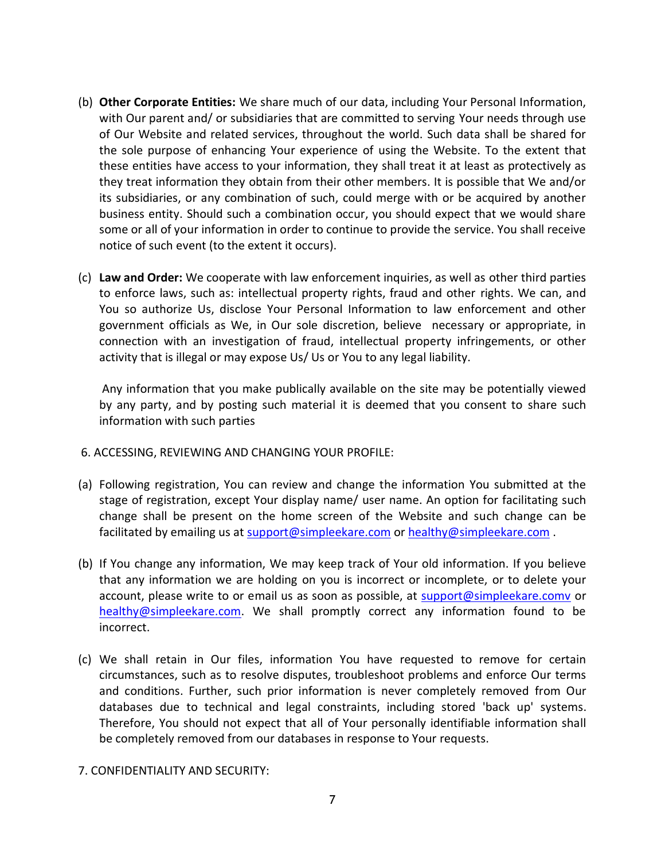- (b) **Other Corporate Entities:** We share much of our data, including Your Personal Information, with Our parent and/ or subsidiaries that are committed to serving Your needs through use of Our Website and related services, throughout the world. Such data shall be shared for the sole purpose of enhancing Your experience of using the Website. To the extent that these entities have access to your information, they shall treat it at least as protectively as they treat information they obtain from their other members. It is possible that We and/or its subsidiaries, or any combination of such, could merge with or be acquired by another business entity. Should such a combination occur, you should expect that we would share some or all of your information in order to continue to provide the service. You shall receive notice of such event (to the extent it occurs).
- (c) **Law and Order:** We cooperate with law enforcement inquiries, as well as other third parties to enforce laws, such as: intellectual property rights, fraud and other rights. We can, and You so authorize Us, disclose Your Personal Information to law enforcement and other government officials as We, in Our sole discretion, believe necessary or appropriate, in connection with an investigation of fraud, intellectual property infringements, or other activity that is illegal or may expose Us/ Us or You to any legal liability.

Any information that you make publically available on the site may be potentially viewed by any party, and by posting such material it is deemed that you consent to share such information with such parties

- 6. ACCESSING, REVIEWING AND CHANGING YOUR PROFILE:
- (a) Following registration, You can review and change the information You submitted at the stage of registration, except Your display name/ user name. An option for facilitating such change shall be present on the home screen of the Website and such change can be facilitated by emailing us at [support@simpleekare.com](mailto:support@simpleekare.com) or [healthy@simpleekare.com](mailto:healthy@simpleekare.com).
- (b) If You change any information, We may keep track of Your old information. If you believe that any information we are holding on you is incorrect or incomplete, or to delete your account, please write to or email us as soon as possible, at [support@simpleekare.comv](mailto:support@simpleekare.comv) or [healthy@simpleekare.com.](mailto:healthy@simpleekare.com) We shall promptly correct any information found to be incorrect.
- (c) We shall retain in Our files, information You have requested to remove for certain circumstances, such as to resolve disputes, troubleshoot problems and enforce Our terms and conditions. Further, such prior information is never completely removed from Our databases due to technical and legal constraints, including stored 'back up' systems. Therefore, You should not expect that all of Your personally identifiable information shall be completely removed from our databases in response to Your requests.

### 7. CONFIDENTIALITY AND SECURITY: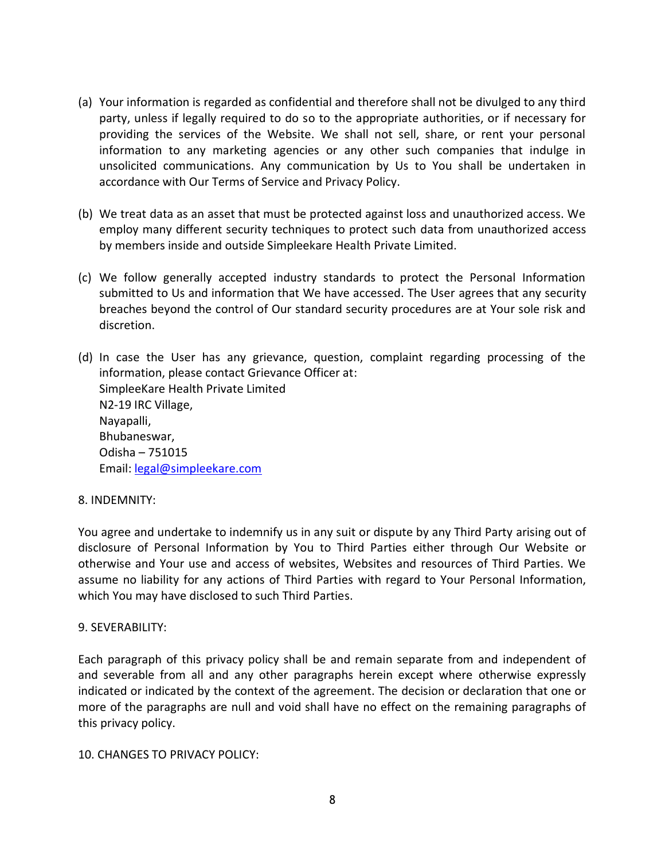- (a) Your information is regarded as confidential and therefore shall not be divulged to any third party, unless if legally required to do so to the appropriate authorities, or if necessary for providing the services of the Website. We shall not sell, share, or rent your personal information to any marketing agencies or any other such companies that indulge in unsolicited communications. Any communication by Us to You shall be undertaken in accordance with Our Terms of Service and Privacy Policy.
- (b) We treat data as an asset that must be protected against loss and unauthorized access. We employ many different security techniques to protect such data from unauthorized access by members inside and outside Simpleekare Health Private Limited.
- (c) We follow generally accepted industry standards to protect the Personal Information submitted to Us and information that We have accessed. The User agrees that any security breaches beyond the control of Our standard security procedures are at Your sole risk and discretion.
- (d) In case the User has any grievance, question, complaint regarding processing of the information, please contact Grievance Officer at: SimpleeKare Health Private Limited N2-19 IRC Village, Nayapalli, Bhubaneswar, Odisha – 751015 Email: [legal@simpleekare.com](mailto:legal@simpleekare.com)

### 8. INDEMNITY:

You agree and undertake to indemnify us in any suit or dispute by any Third Party arising out of disclosure of Personal Information by You to Third Parties either through Our Website or otherwise and Your use and access of websites, Websites and resources of Third Parties. We assume no liability for any actions of Third Parties with regard to Your Personal Information, which You may have disclosed to such Third Parties.

### 9. SEVERABILITY:

Each paragraph of this privacy policy shall be and remain separate from and independent of and severable from all and any other paragraphs herein except where otherwise expressly indicated or indicated by the context of the agreement. The decision or declaration that one or more of the paragraphs are null and void shall have no effect on the remaining paragraphs of this privacy policy.

#### 10. CHANGES TO PRIVACY POLICY: